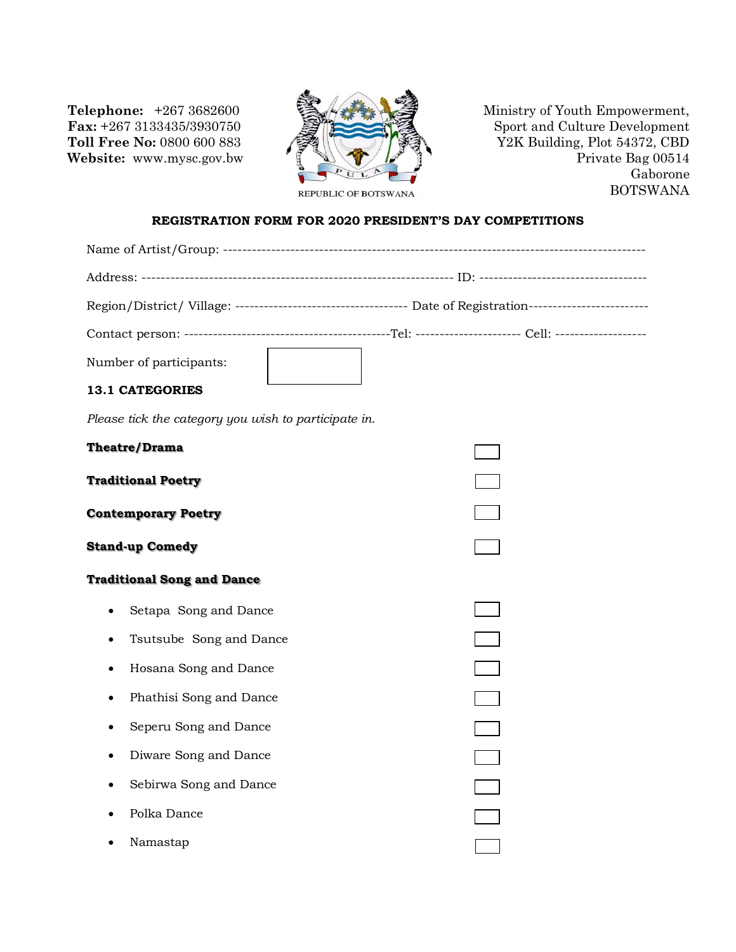**Telephone:** +267 3682600 **Fax:** +267 3133435/3930750 **Toll Free No:** 0800 600 883 **Website:** www.mysc.gov.bw



Ministry of Youth Empowerment, Sport and Culture Development Y2K Building, Plot 54372, CBD Private Bag 00514 Gaborone BOTSWANA

## **REGISTRATION FORM FOR 2020 PRESIDENT'S DAY COMPETITIONS**

|                                                      | Region/District/ Village: ----------------------------------- Date of Registration------------------------ |  |  |  |  |
|------------------------------------------------------|------------------------------------------------------------------------------------------------------------|--|--|--|--|
|                                                      |                                                                                                            |  |  |  |  |
| Number of participants:                              |                                                                                                            |  |  |  |  |
| <b>13.1 CATEGORIES</b>                               |                                                                                                            |  |  |  |  |
| Please tick the category you wish to participate in. |                                                                                                            |  |  |  |  |
| Theatre/Drama                                        |                                                                                                            |  |  |  |  |
| <b>Traditional Poetry</b>                            |                                                                                                            |  |  |  |  |
| <b>Contemporary Poetry</b>                           |                                                                                                            |  |  |  |  |
| <b>Stand-up Comedy</b>                               |                                                                                                            |  |  |  |  |
| <b>Traditional Song and Dance</b>                    |                                                                                                            |  |  |  |  |
| Setapa Song and Dance                                |                                                                                                            |  |  |  |  |
| Tsutsube Song and Dance                              |                                                                                                            |  |  |  |  |
| Hosana Song and Dance                                |                                                                                                            |  |  |  |  |
| Phathisi Song and Dance                              |                                                                                                            |  |  |  |  |
| Seperu Song and Dance                                |                                                                                                            |  |  |  |  |
| Diware Song and Dance                                |                                                                                                            |  |  |  |  |
| Sebirwa Song and Dance                               |                                                                                                            |  |  |  |  |
| Polka Dance                                          |                                                                                                            |  |  |  |  |
| Namastap                                             |                                                                                                            |  |  |  |  |